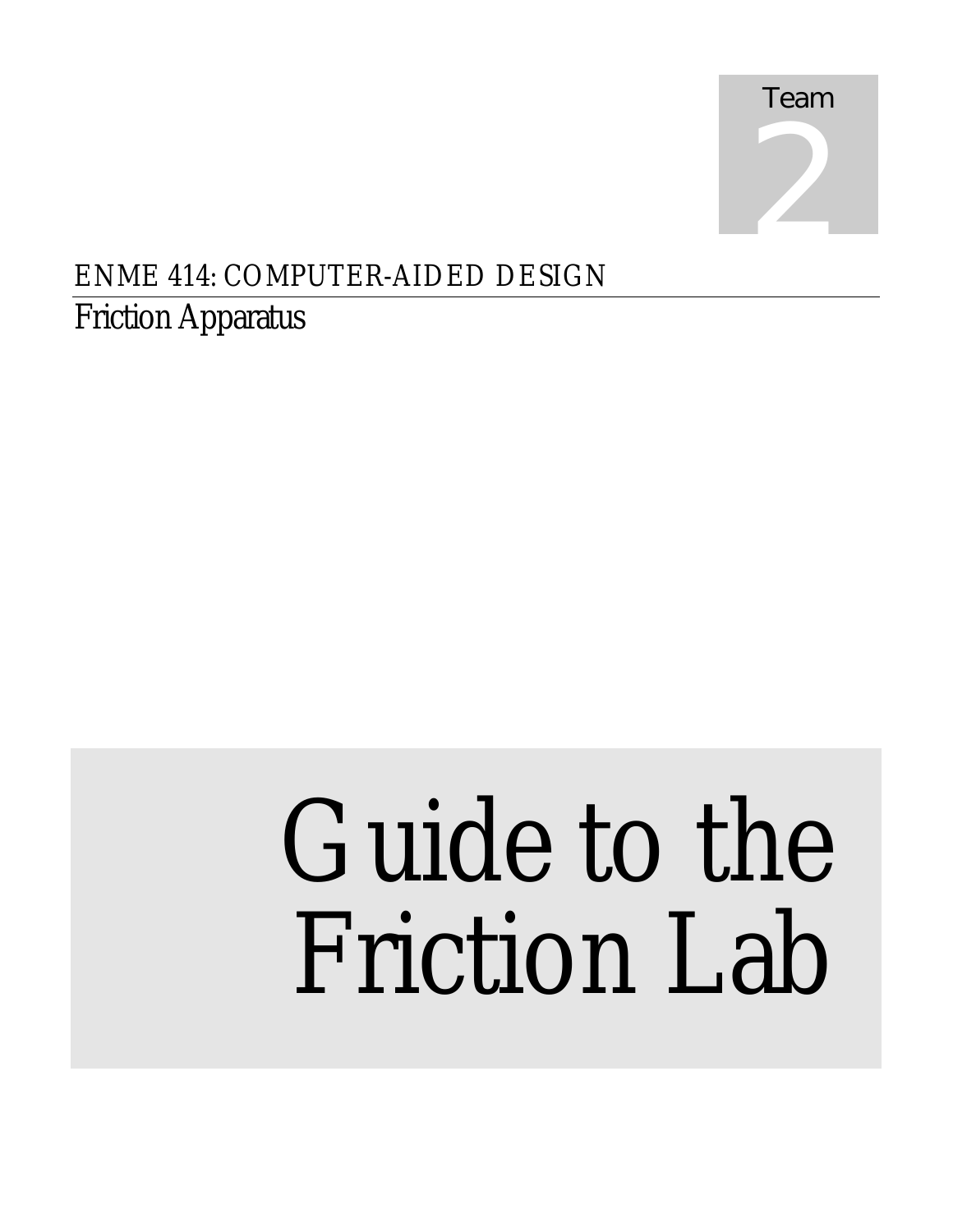

## ENME 414: COMPUTER-AIDED DESIGN

## Friction Apparatus

# Guide to the Friction Lab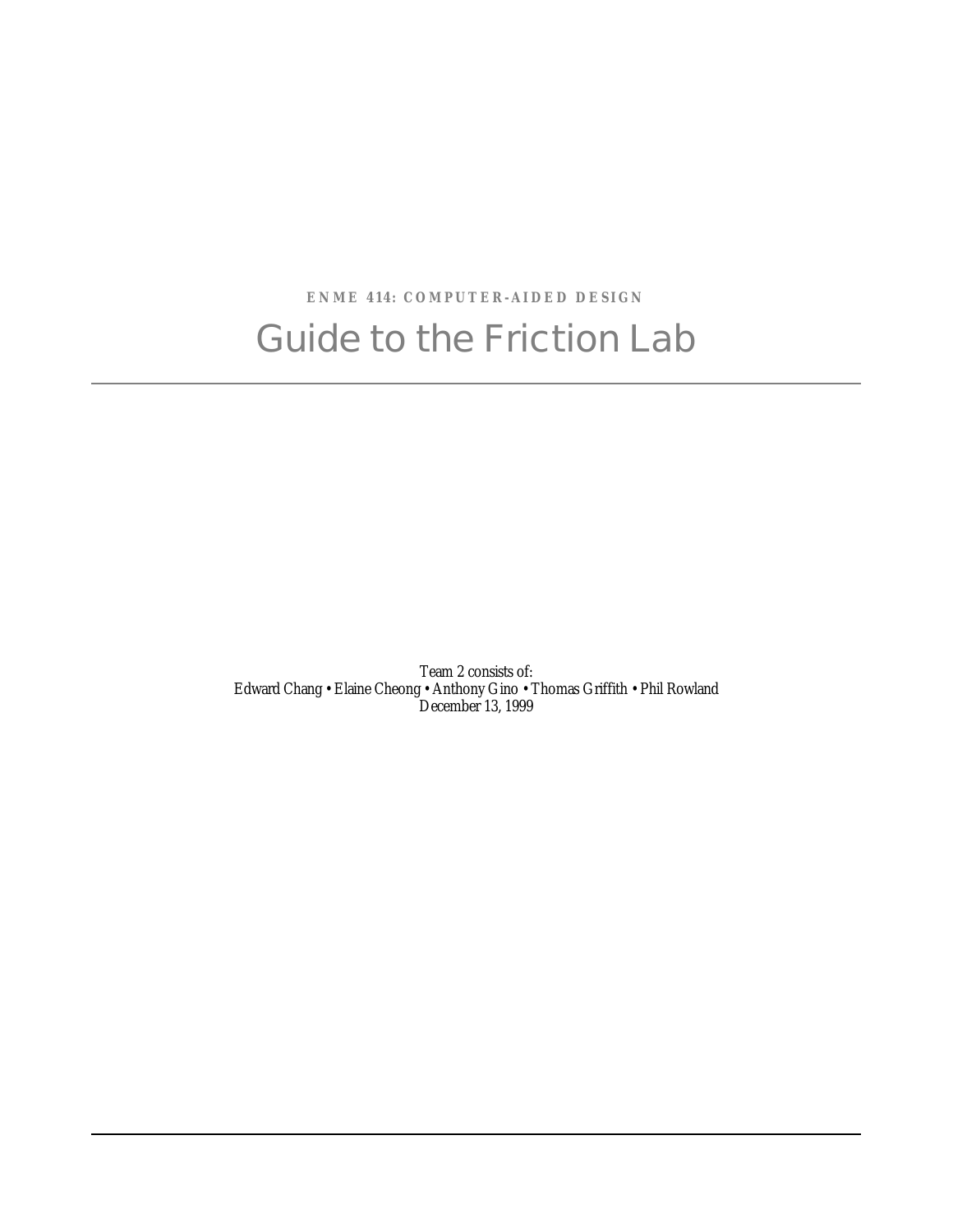## **ENME 414: COMPUTER-AIDED DESIGN** Guide to the Friction Lab

Team 2 consists of: Edward Chang • Elaine Cheong • Anthony Gino • Thomas Griffith • Phil Rowland December 13, 1999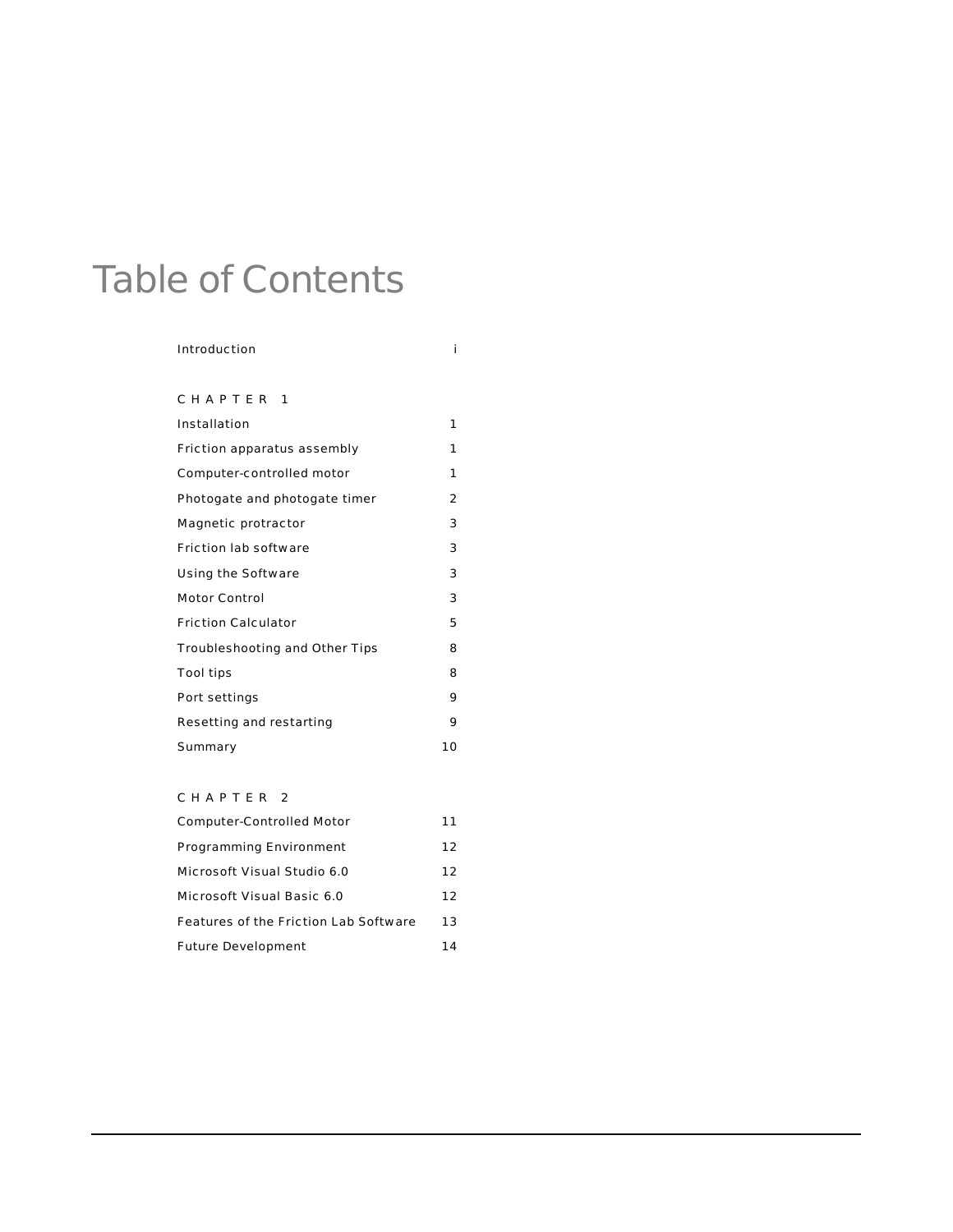## Table of Contents

#### Introduction i

CHAPTER 1

| Installation                   | 1              |
|--------------------------------|----------------|
| Friction apparatus assembly    | 1              |
| Computer-controlled motor      | 1              |
| Photogate and photogate timer  | $\overline{2}$ |
| Magnetic protractor            | 3              |
| Friction lab software          | 3              |
| Using the Software             | 3              |
| <b>Motor Control</b>           | 3              |
| <b>Friction Calculator</b>     | 5              |
| Troubleshooting and Other Tips | 8              |
| Tool tips                      | 8              |
| Port settings                  | 9              |
| Resetting and restarting       | 9              |
| Summary                        | 10             |

#### CHAPTER 2

| Computer-Controlled Motor             | 11 |
|---------------------------------------|----|
| Programming Environment               | 12 |
| Microsoft Visual Studio 6.0           | 12 |
| Microsoft Visual Basic 6.0            | 12 |
| Features of the Friction Lab Software | 13 |
| <b>Future Development</b>             | 14 |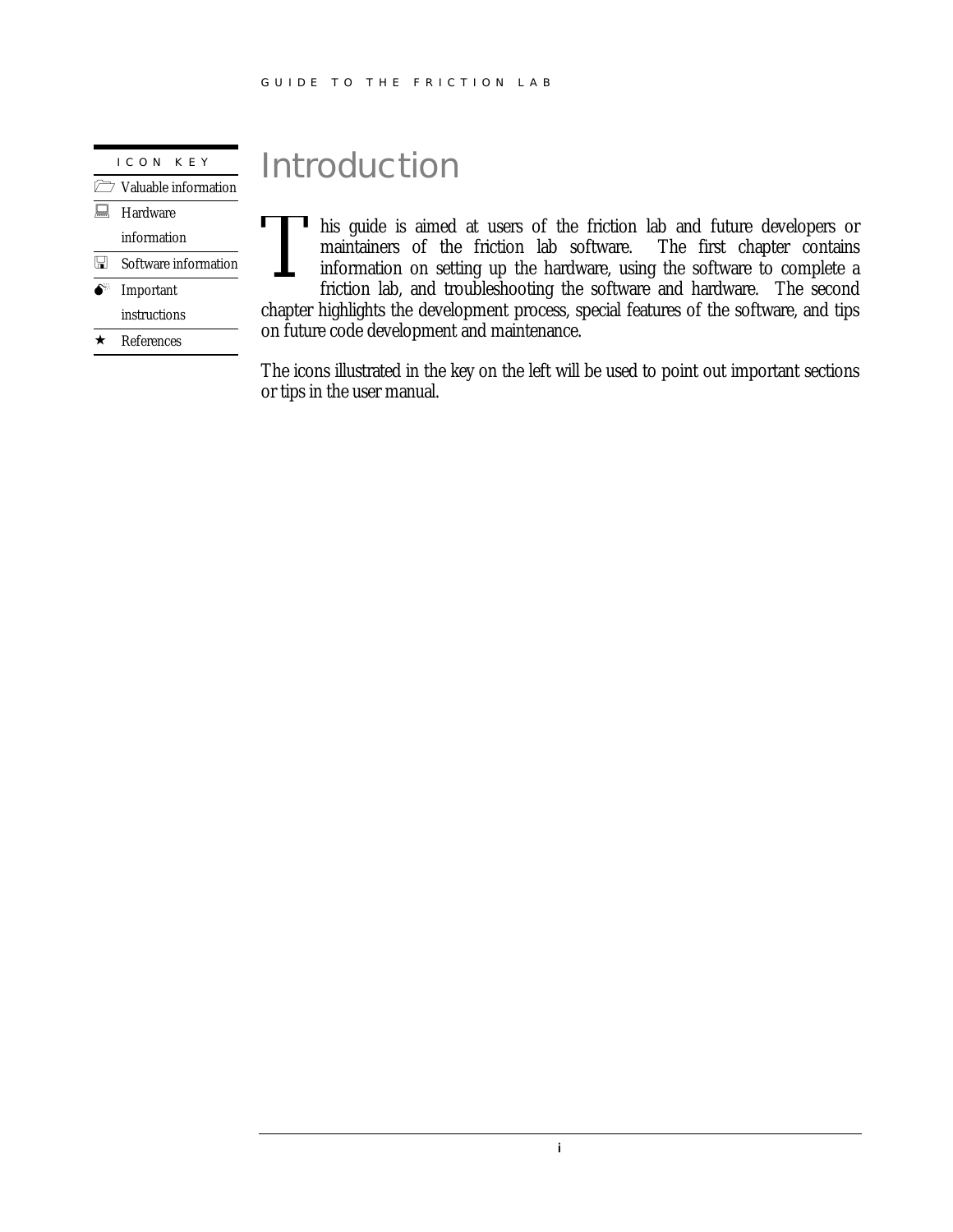ICON KEY  $\sqrt{2}$  Valuable information **E** Hardware information Software information  $\bullet^*$  Important instructions  $\star$  References

## Introduction

his guide is aimed at users of the friction lab and future developers or maintainers of the friction lab software. information on setting up the hardware, using the software to complete a friction lab, and troubleshooting the software and hardware. The second chapter highlights the development process, special features of the software, and tips on future code development and maintenance. T

The icons illustrated in the key on the left will be used to point out important sections or tips in the user manual.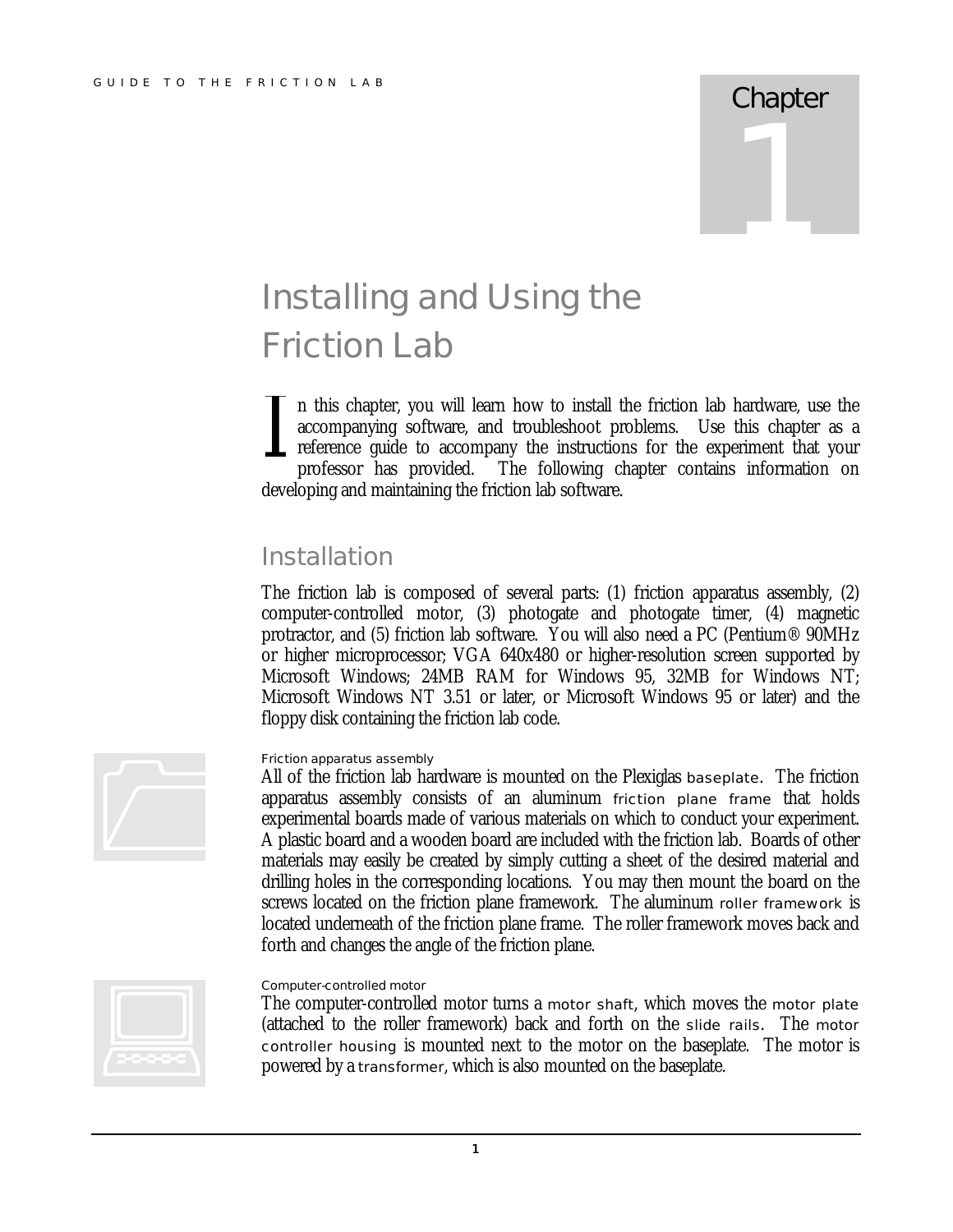## **Chapter** 1

## Installing and Using the Friction Lab

n this chapter, you will learn how to install the friction lab hardware, use the accompanying software, and troubleshoot problems. Use this chapter as a reference guide to accompany the instructions for the experiment that your professor has provided. The following chapter contains information on developing and maintaining the friction lab software. I

#### **Installation**

The friction lab is composed of several parts: (1) friction apparatus assembly, (2) computer-controlled motor, (3) photogate and photogate timer, (4) magnetic protractor, and (5) friction lab software. You will also need a PC (Pentium® 90MHz or higher microprocessor; VGA 640x480 or higher-resolution screen supported by Microsoft Windows; 24MB RAM for Windows 95, 32MB for Windows NT; Microsoft Windows NT 3.51 or later, or Microsoft Windows 95 or later) and the floppy disk containing the friction lab code.



#### Friction apparatus assembly

All of the friction lab hardware is mounted on the Plexiglas baseplate. The friction apparatus assembly consists of an aluminum friction plane frame that holds experimental boards made of various materials on which to conduct your experiment. A plastic board and a wooden board are included with the friction lab. Boards of other materials may easily be created by simply cutting a sheet of the desired material and drilling holes in the corresponding locations. You may then mount the board on the screws located on the friction plane framework. The aluminum roller framework is located underneath of the friction plane frame. The roller framework moves back and forth and changes the angle of the friction plane.



#### Computer-controlled motor

The computer-controlled motor turns a motor shaft, which moves the motor plate (attached to the roller framework) back and forth on the slide rails. The motor controller housing is mounted next to the motor on the baseplate. The motor is powered by a transformer, which is also mounted on the baseplate.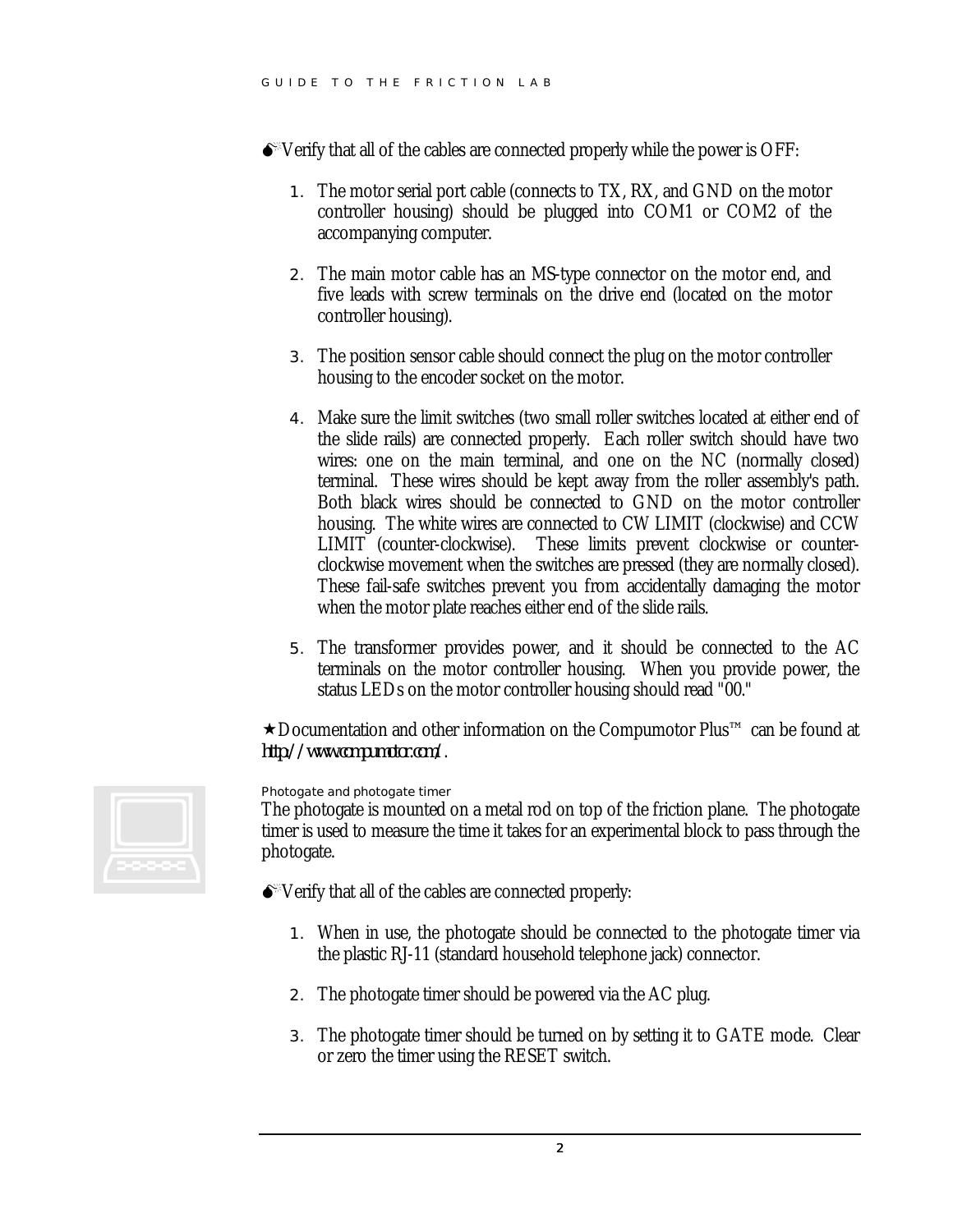$\bullet$  Verify that all of the cables are connected properly while the power is OFF:

- 1. The motor serial port cable (connects to TX, RX, and GND on the motor controller housing) should be plugged into COM1 or COM2 of the accompanying computer.
- 2. The main motor cable has an MS-type connector on the motor end, and five leads with screw terminals on the drive end (located on the motor controller housing).
- 3. The position sensor cable should connect the plug on the motor controller housing to the encoder socket on the motor.
- 4. Make sure the limit switches (two small roller switches located at either end of the slide rails) are connected properly. Each roller switch should have two wires: one on the main terminal, and one on the NC (normally closed) terminal. These wires should be kept away from the roller assembly's path. Both black wires should be connected to GND on the motor controller housing. The white wires are connected to CW LIMIT (clockwise) and CCW LIMIT (counter-clockwise). These limits prevent clockwise or counterclockwise movement when the switches are pressed (they are normally closed). These fail-safe switches prevent you from accidentally damaging the motor when the motor plate reaches either end of the slide rails.
- 5. The transformer provides power, and it should be connected to the AC terminals on the motor controller housing. When you provide power, the status LEDs on the motor controller housing should read "00."

´Documentation and other information on the Compumotor Plus™ can be found at *http://www.compumotor.com/*.



Photogate and photogate timer

The photogate is mounted on a metal rod on top of the friction plane. The photogate timer is used to measure the time it takes for an experimental block to pass through the photogate.

- $\bullet$  Verify that all of the cables are connected properly:
	- 1. When in use, the photogate should be connected to the photogate timer via the plastic RJ-11 (standard household telephone jack) connector.
	- 2. The photogate timer should be powered via the AC plug.
	- 3. The photogate timer should be turned on by setting it to GATE mode. Clear or zero the timer using the RESET switch.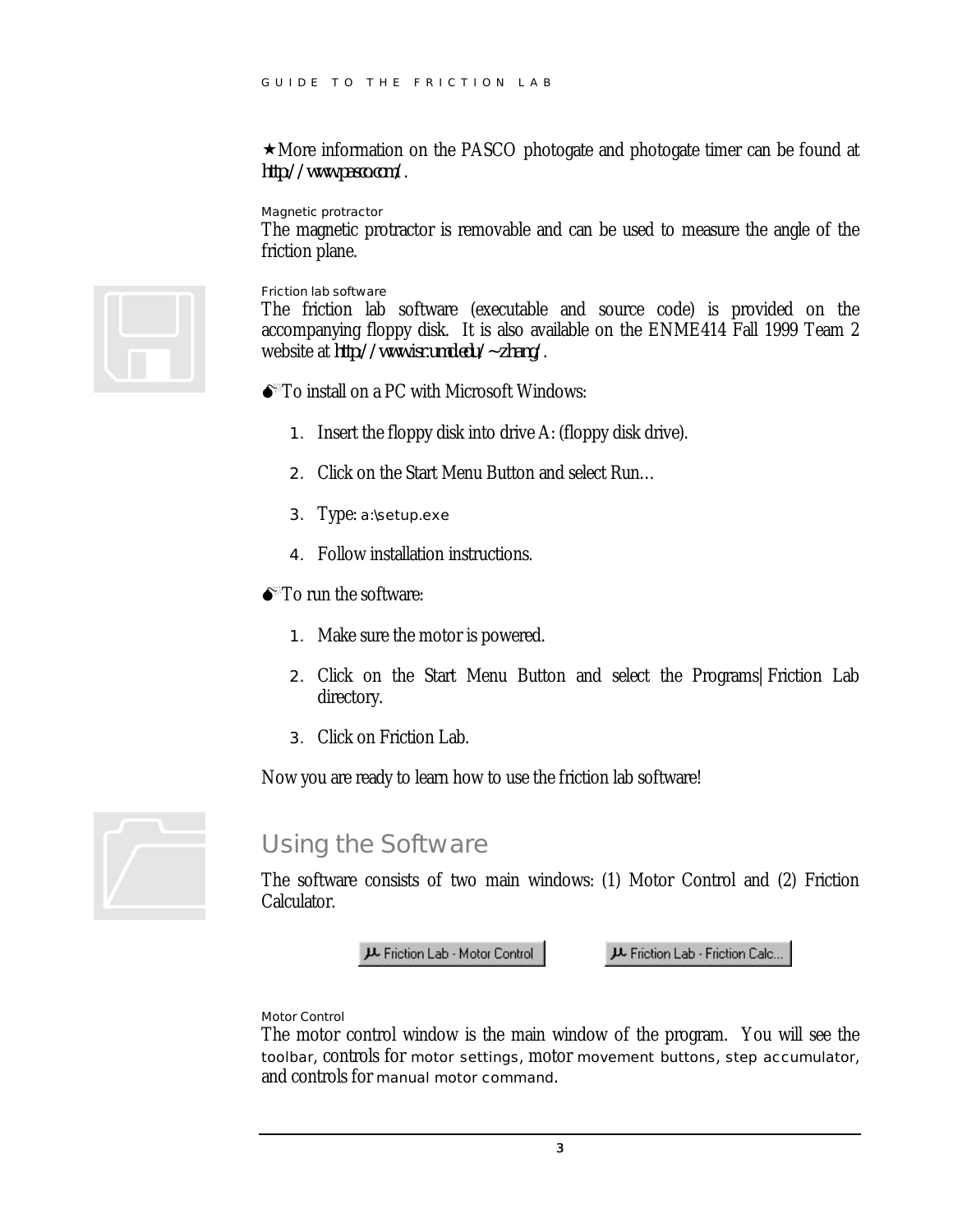$\star$  More information on the PASCO photogate and photogate timer can be found at *http://www.pasco.com/*.

Magnetic protractor

The magnetic protractor is removable and can be used to measure the angle of the friction plane.



Friction lab software

The friction lab software (executable and source code) is provided on the accompanying floppy disk. It is also available on the ENME414 Fall 1999 Team 2 website at *http://www.isr.umd.edu/~zhang/*.

- $\bullet$ <sup> $\degree$ To install on a PC with Microsoft Windows:</sup>
	- 1. Insert the floppy disk into drive A: (floppy disk drive).
	- 2. Click on the Start Menu Button and select Run…
	- 3. Type: a:\setup.exe
	- 4. Follow installation instructions.
- $\bullet$ <sup>\*</sup>To run the software:
	- 1. Make sure the motor is powered.
	- 2. Click on the Start Menu Button and select the Programs|Friction Lab directory.
	- 3. Click on Friction Lab.

Now you are ready to learn how to use the friction lab software!



#### Using the Software

The software consists of two main windows: (1) Motor Control and (2) Friction Calculator.

JL Friction Lab - Motor Control

J Friction Lab - Friction Calc...

#### Motor Control

The motor control window is the main window of the program. You will see the toolbar, controls for motor settings, motor movement buttons, step accumulator, and controls for manual motor command.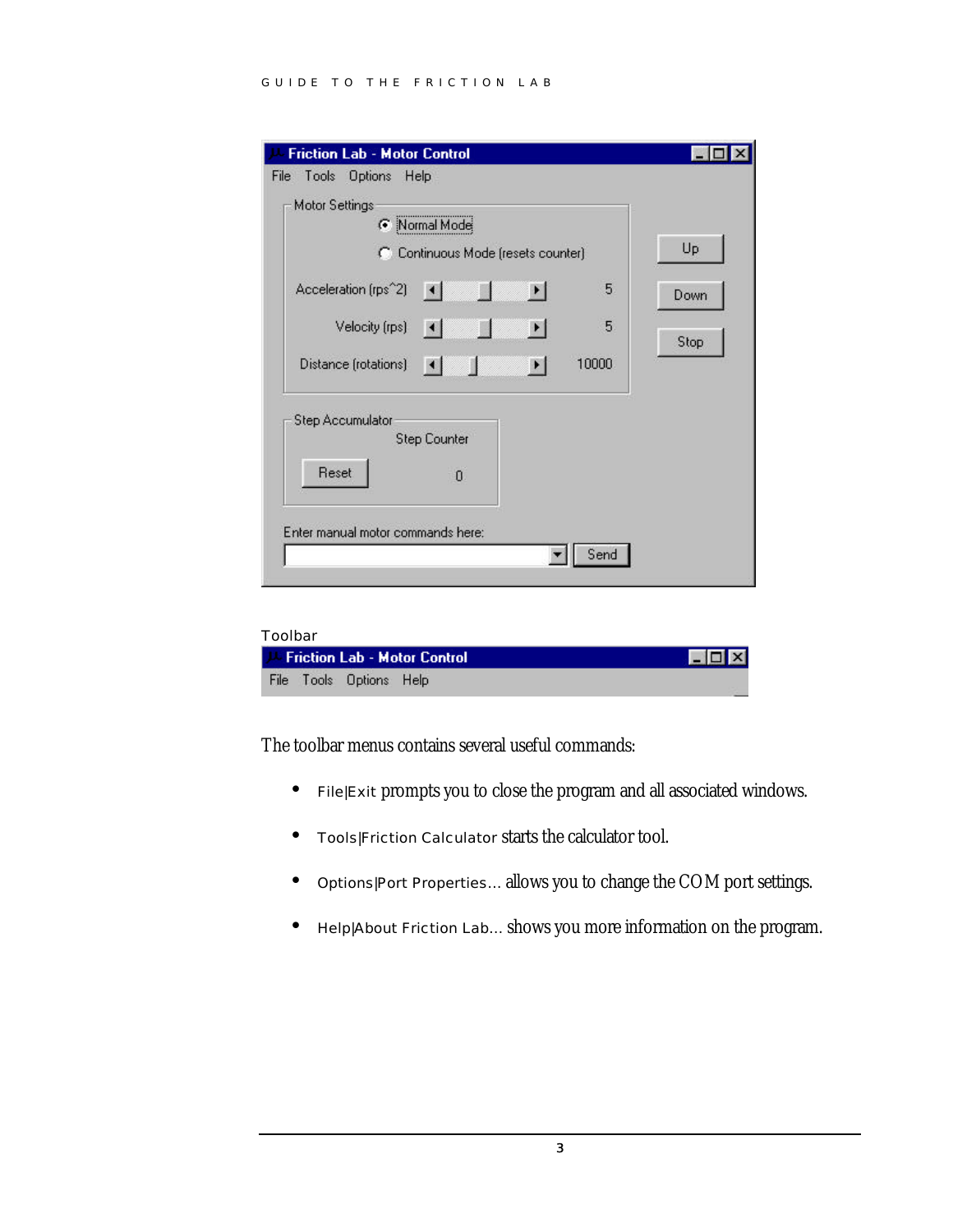| <b>Friction Lab - Motor Control</b>                                     |      |
|-------------------------------------------------------------------------|------|
| Tools Options Help<br>File                                              |      |
| <b>Motor Settings</b><br>C Normal Mode                                  |      |
| C Continuous Mode (resets counter)                                      | Up   |
| Acceleration (rps^2)<br>5<br>$\vert \cdot \vert$<br>$\vert \cdot \vert$ | Down |
| 5<br>Velocity (rps)<br>$\vert \cdot \vert$                              | Stop |
| 10000<br>Distance (rotations)<br>$\vert \cdot \vert$                    |      |
| Step Accumulator<br><b>Step Counter</b><br>Reset                        |      |
| $\overline{0}$                                                          |      |
| Enter manual motor commands here:<br>Send                               |      |
|                                                                         |      |

| Toolbar |                         |                                     |                                        |
|---------|-------------------------|-------------------------------------|----------------------------------------|
|         |                         | <b>Friction Lab - Motor Control</b> | $\blacksquare$ $\blacksquare$ $\times$ |
|         | File Tools Options Help |                                     |                                        |

The toolbar menus contains several useful commands:

- File|Exit prompts you to close the program and all associated windows.
- Tools|Friction Calculator starts the calculator tool.
- Options|Port Properties… allows you to change the COM port settings.
- Help|About Friction Lab… shows you more information on the program.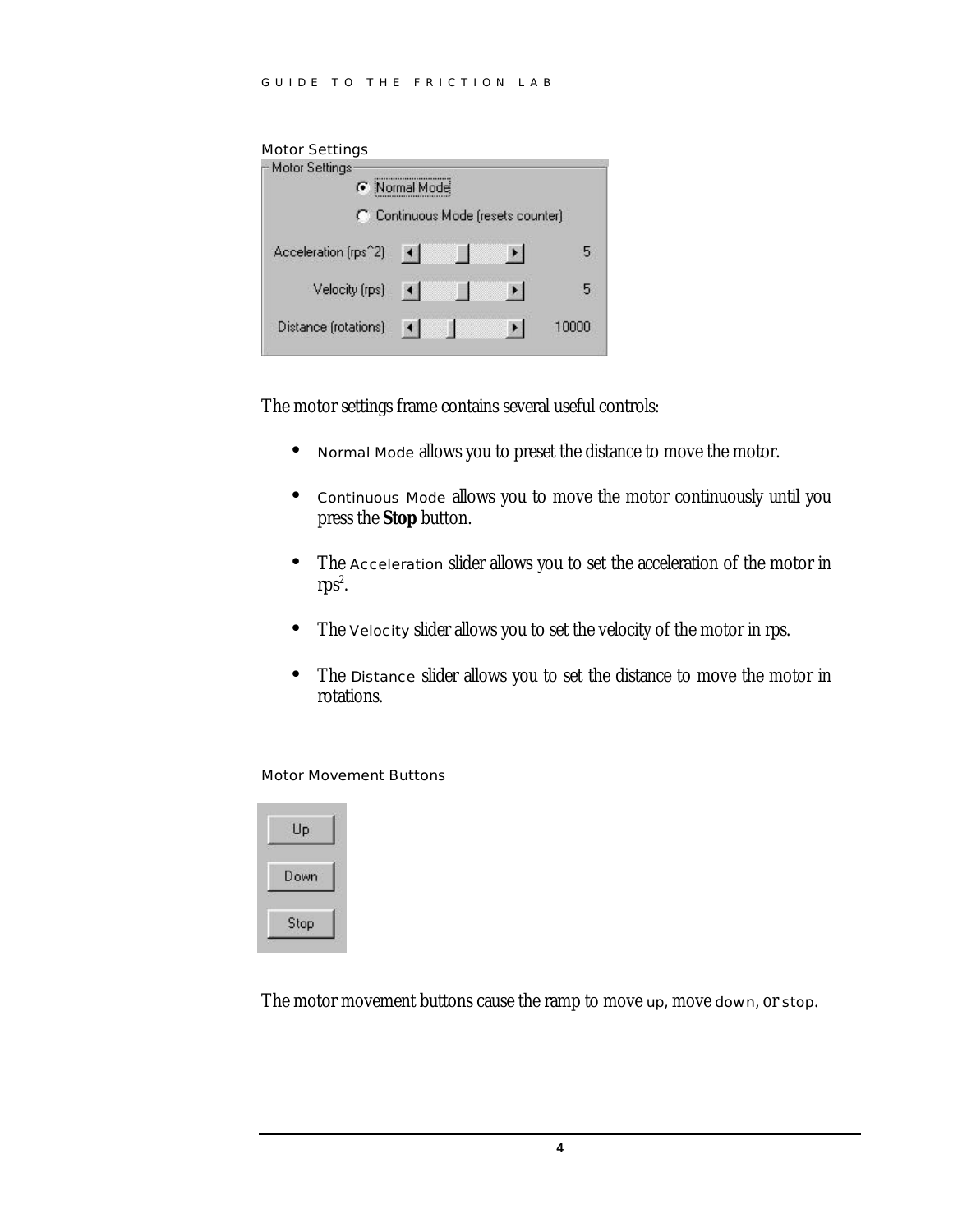#### Motor Settings

| <b>Motor Settings</b> |                        |                                    |       |
|-----------------------|------------------------|------------------------------------|-------|
| G.                    | Normal Mode            |                                    |       |
|                       |                        | C Continuous Mode (resets counter) |       |
| Acceleration (rps^2)  | $\blacksquare$         | ▸                                  | 5     |
| Velocity (rps)        | $\left  \cdot \right $ | ▸                                  | 5     |
| Distance (rotations)  |                        |                                    | 10000 |

The motor settings frame contains several useful controls:

- Normal Mode allows you to preset the distance to move the motor.
- Continuous Mode allows you to move the motor continuously until you press the **Stop** button.
- The Acceleration slider allows you to set the acceleration of the motor in  $rps^2$ .
- The Velocity slider allows you to set the velocity of the motor in rps.
- The Distance slider allows you to set the distance to move the motor in rotations.

Motor Movement Buttons



The motor movement buttons cause the ramp to move up, move down, or stop.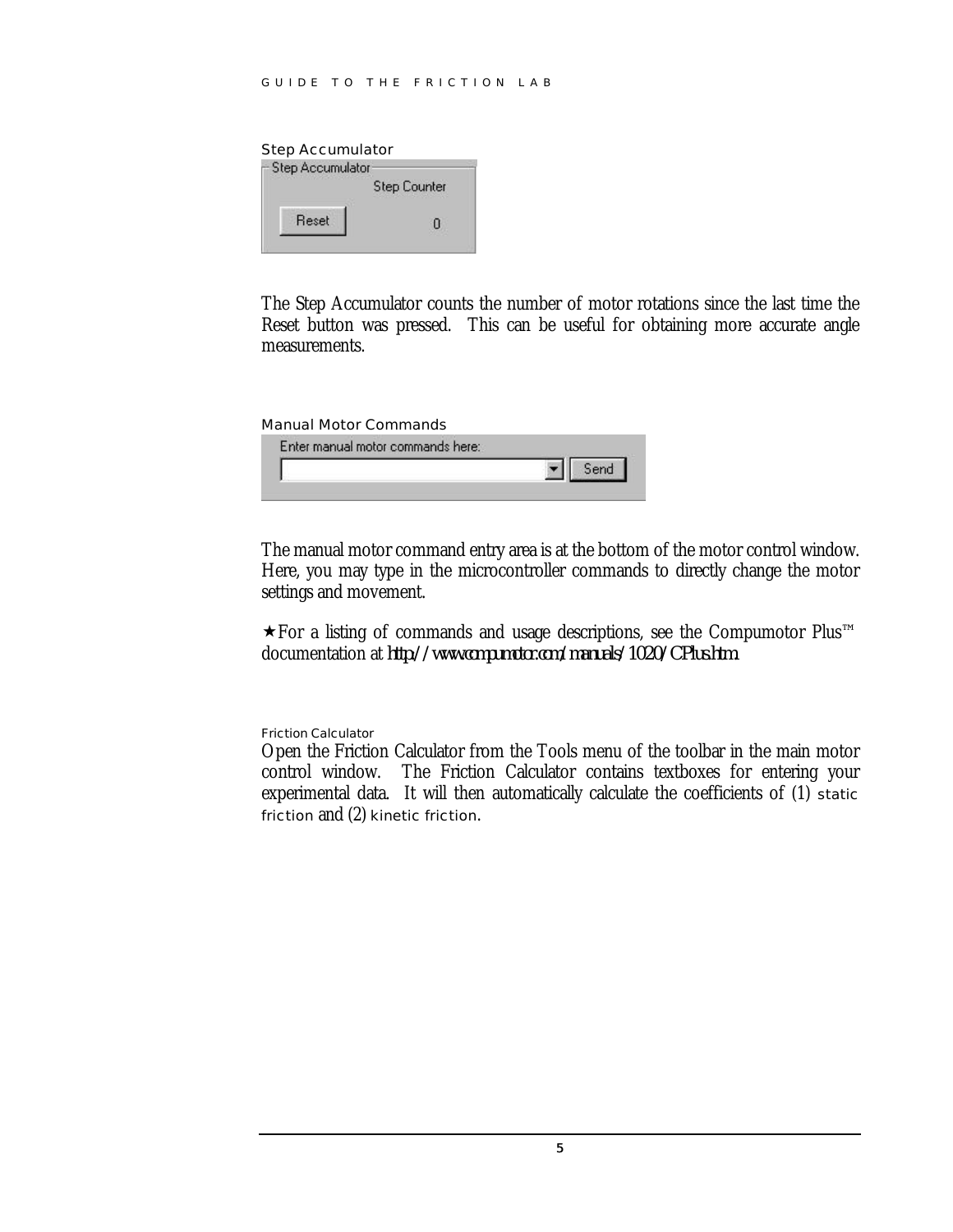$\overline{0}$ 

Step Accumulator Step Accumulator **Step Counter** 

Reset

The Step Accumulator counts the number of motor rotations since the last time the Reset button was pressed. This can be useful for obtaining more accurate angle measurements.

#### Manual Motor Commands

The manual motor command entry area is at the bottom of the motor control window. Here, you may type in the microcontroller commands to directly change the motor settings and movement.

 $\star$  For a listing of commands and usage descriptions, see the Compumotor Plus<sup>™</sup> documentation at *http://www.compumotor.com/manuals/1020/CPlus.htm*.

#### Friction Calculator

Open the Friction Calculator from the Tools menu of the toolbar in the main motor control window. The Friction Calculator contains textboxes for entering your experimental data. It will then automatically calculate the coefficients of (1) static friction and (2) kinetic friction.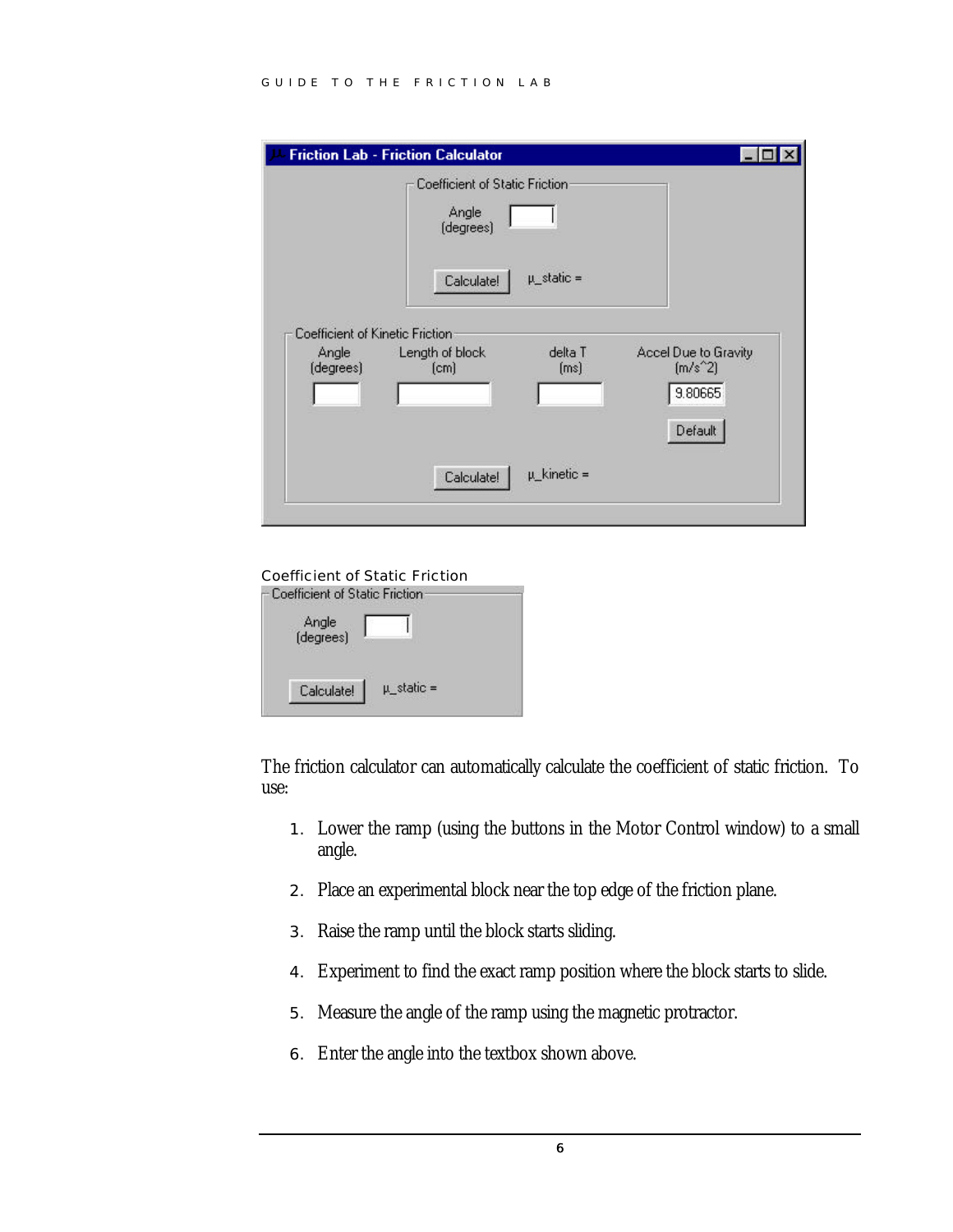#### GUIDE TO THE FRICTION LAB

|                                 | <b>Friction Lab - Friction Calculator</b>            |                          |                                                         |
|---------------------------------|------------------------------------------------------|--------------------------|---------------------------------------------------------|
|                                 | Coefficient of Static Friction<br>Angle<br>(degrees) |                          |                                                         |
| Coefficient of Kinetic Friction | Calculate!                                           | $\mu_{\text{}}$ static = |                                                         |
| Angle<br>(degrees)              | Length of block<br>[cm]                              | delta T<br>[ms]          | Accel Due to Gravity<br>$[m/s^2]$<br>9.80665<br>Default |
|                                 | Calculate!                                           | $\mu$ _kinetic =         |                                                         |





The friction calculator can automatically calculate the coefficient of static friction. To use:

- 1. Lower the ramp (using the buttons in the Motor Control window) to a small angle.
- 2. Place an experimental block near the top edge of the friction plane.
- 3. Raise the ramp until the block starts sliding.
- 4. Experiment to find the exact ramp position where the block starts to slide.
- 5. Measure the angle of the ramp using the magnetic protractor.
- 6. Enter the angle into the textbox shown above.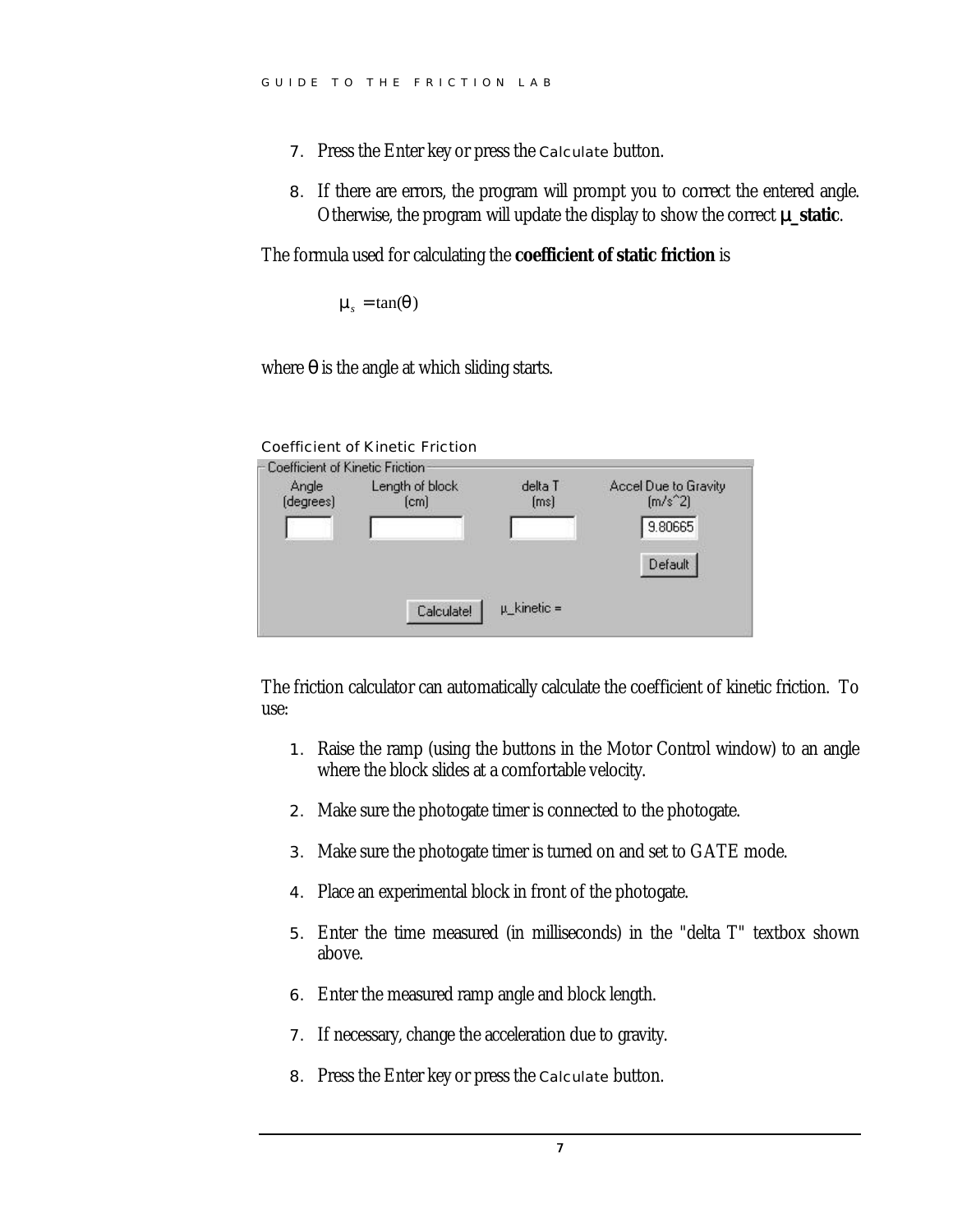- 7. Press the Enter key or press the Calculate button.
- 8. If there are errors, the program will prompt you to correct the entered angle. Otherwise, the program will update the display to show the correct μ**\_static**.

The formula used for calculating the **coefficient of static friction** is

 $m_s = \tan(q)$ 

where *q* is the angle at which sliding starts.

| Angle     | Length of block | delta T | Accel Due to Gravity |
|-----------|-----------------|---------|----------------------|
| (degrees) | [cm]            | (ms)    | $[m/s^2]$            |
|           |                 |         | 9.80665              |
|           |                 |         |                      |
|           |                 |         | Default              |
|           |                 |         |                      |

The friction calculator can automatically calculate the coefficient of kinetic friction. To use:

- 1. Raise the ramp (using the buttons in the Motor Control window) to an angle where the block slides at a comfortable velocity.
- 2. Make sure the photogate timer is connected to the photogate.
- 3. Make sure the photogate timer is turned on and set to GATE mode.
- 4. Place an experimental block in front of the photogate.
- 5. Enter the time measured (in milliseconds) in the "delta T" textbox shown above.
- 6. Enter the measured ramp angle and block length.
- 7. If necessary, change the acceleration due to gravity.
- 8. Press the Enter key or press the Calculate button.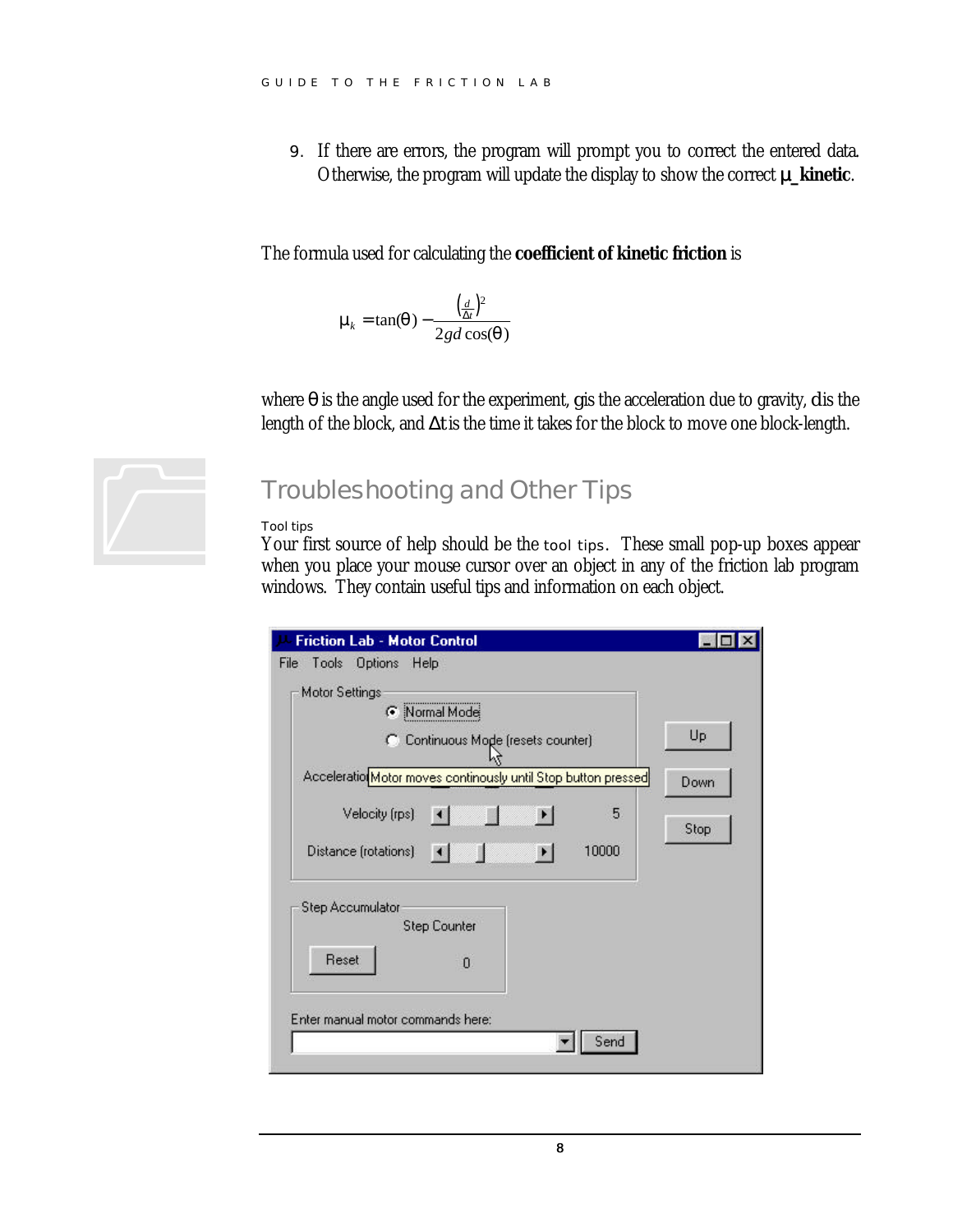9. If there are errors, the program will prompt you to correct the entered data. Otherwise, the program will update the display to show the correct μ**\_kinetic**.

The formula used for calculating the **coefficient of kinetic friction** is

$$
\mathbf{m}_{k} = \tan(\mathbf{q}) - \frac{\left(\frac{d}{\Delta t}\right)^{2}}{2gd\cos(\mathbf{q})}
$$

where *q* is the angle used for the experiment, *g* is the acceleration due to gravity, *d* is the length of the block, and Δ*t* is the time it takes for the block to move one block-length.



### Troubleshooting and Other Tips

#### Tool tips

Your first source of help should be the tool tips. These small pop-up boxes appear when you place your mouse cursor over an object in any of the friction lab program windows. They contain useful tips and information on each object.

| <b>Friction Lab - Motor Control</b>                                                         |      |
|---------------------------------------------------------------------------------------------|------|
| Tools<br>Options Help<br>File<br>Motor Settings<br>Rormal Mode                              |      |
| C Continuous Mode (resets counter)                                                          | Up   |
| Acceleratio Motor moves continously until Stop button pressed                               | Down |
| Velocity (rps)<br>5.<br>$\left  \cdot \right $<br>10000<br>Distance (rotations)<br>$\lceil$ | Stop |
| <b>Step Accumulator</b><br><b>Step Counter</b><br>Reset<br>$\mathbf{0}$                     |      |
| Enter manual motor commands here:                                                           |      |
| Send                                                                                        |      |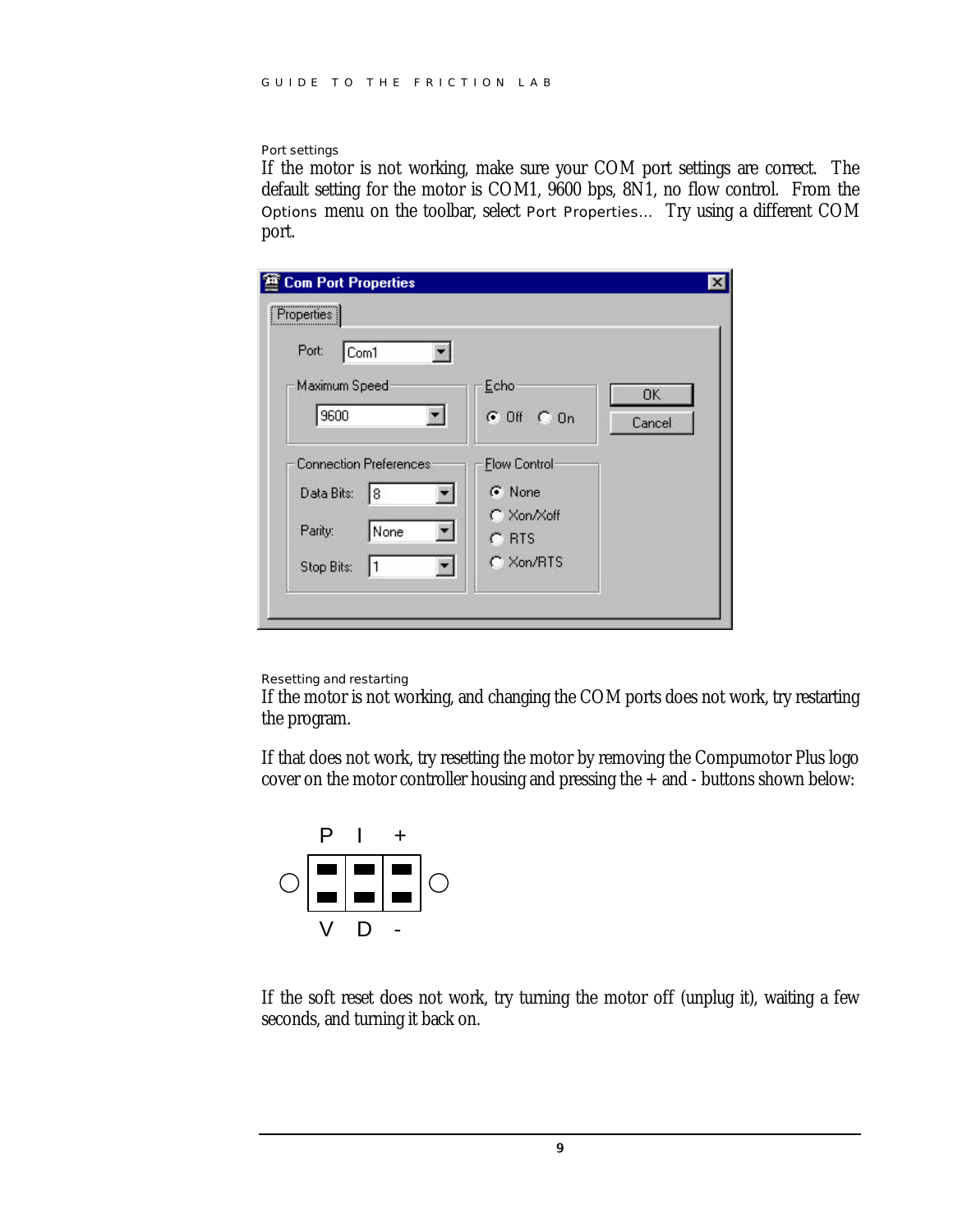#### Port settings

If the motor is not working, make sure your COM port settings are correct. The default setting for the motor is COM1, 9600 bps, 8N1, no flow control. From the Options menu on the toolbar, select Port Properties… Try using a different COM port.

| <b>Com Port Properties</b><br>,,,,,,,,,,,,,,,,,,,,,,,,,,,,,<br>Properties |                       |        |
|---------------------------------------------------------------------------|-----------------------|--------|
| Port:<br>Com1                                                             |                       |        |
| Maximum Speed                                                             | Echo                  | OK.    |
| 9600                                                                      | $G$ Off $C$ On        | Cancel |
| <b>Connection Preferences</b>                                             | <b>Flow Control</b>   |        |
| Data Bits:<br>18                                                          | G None                |        |
| Parity:<br>None                                                           | C Xon/Xoff<br>$C$ RTS |        |
| Stop Bits:                                                                | $C$ Xon/RTS           |        |
|                                                                           |                       |        |

#### Resetting and restarting

If the motor is not working, and changing the COM ports does not work, try restarting the program.

If that does not work, try resetting the motor by removing the Compumotor Plus logo cover on the motor controller housing and pressing the  $+$  and  $-$  buttons shown below:



If the soft reset does not work, try turning the motor off (unplug it), waiting a few seconds, and turning it back on.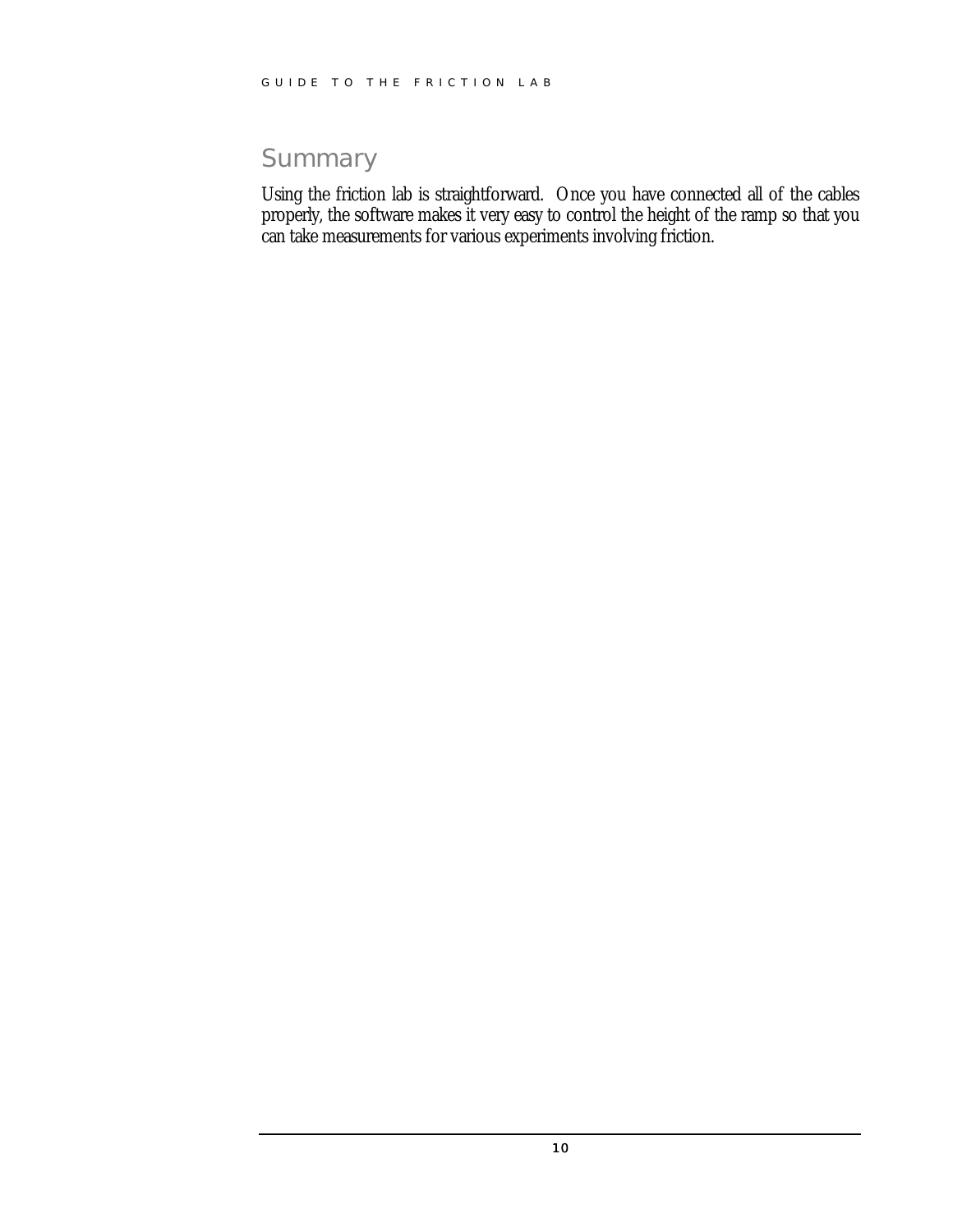## **Summary**

Using the friction lab is straightforward. Once you have connected all of the cables properly, the software makes it very easy to control the height of the ramp so that you can take measurements for various experiments involving friction.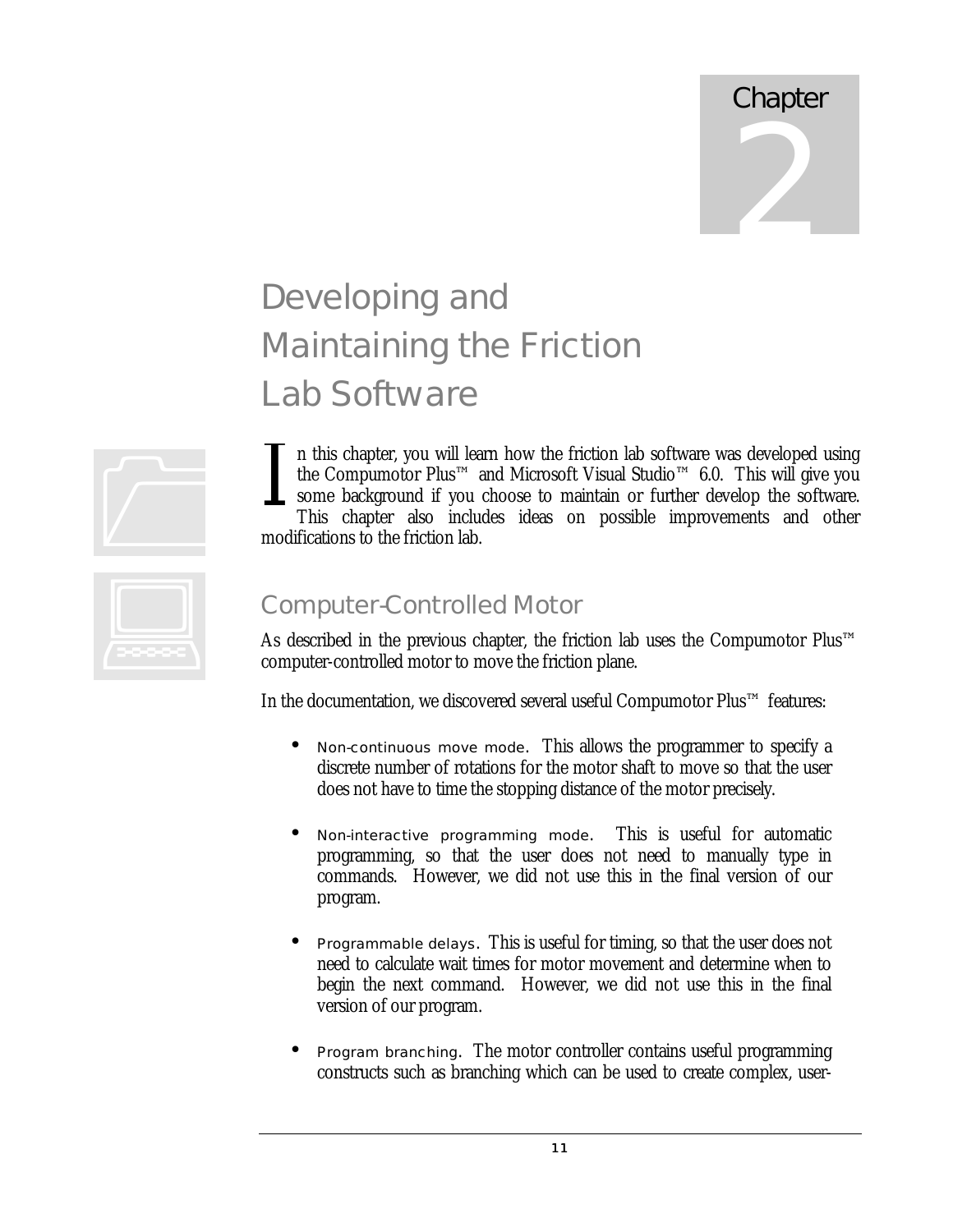## **Chapter** 2

## Developing and Maintaining the Friction Lab Software

n this chapter, you will learn how the friction lab software was developed using the Compumotor Plus™ and Microsoft Visual Studio™ 6.0. This will give you some background if you choose to maintain or further develop the software. This chapter also includes ideas on possible improvements and other modifications to the friction lab. <u>1</u>

## Computer-Controlled Motor

As described in the previous chapter, the friction lab uses the Compumotor Plus™ computer-controlled motor to move the friction plane.

In the documentation, we discovered several useful Compumotor Plus™ features:

- Non-continuous move mode. This allows the programmer to specify a discrete number of rotations for the motor shaft to move so that the user does not have to time the stopping distance of the motor precisely.
- Non-interactive programming mode. This is useful for automatic programming, so that the user does not need to manually type in commands. However, we did not use this in the final version of our program.
- Programmable delays. This is useful for timing, so that the user does not need to calculate wait times for motor movement and determine when to begin the next command. However, we did not use this in the final version of our program.
- Program branching. The motor controller contains useful programming constructs such as branching which can be used to create complex, user-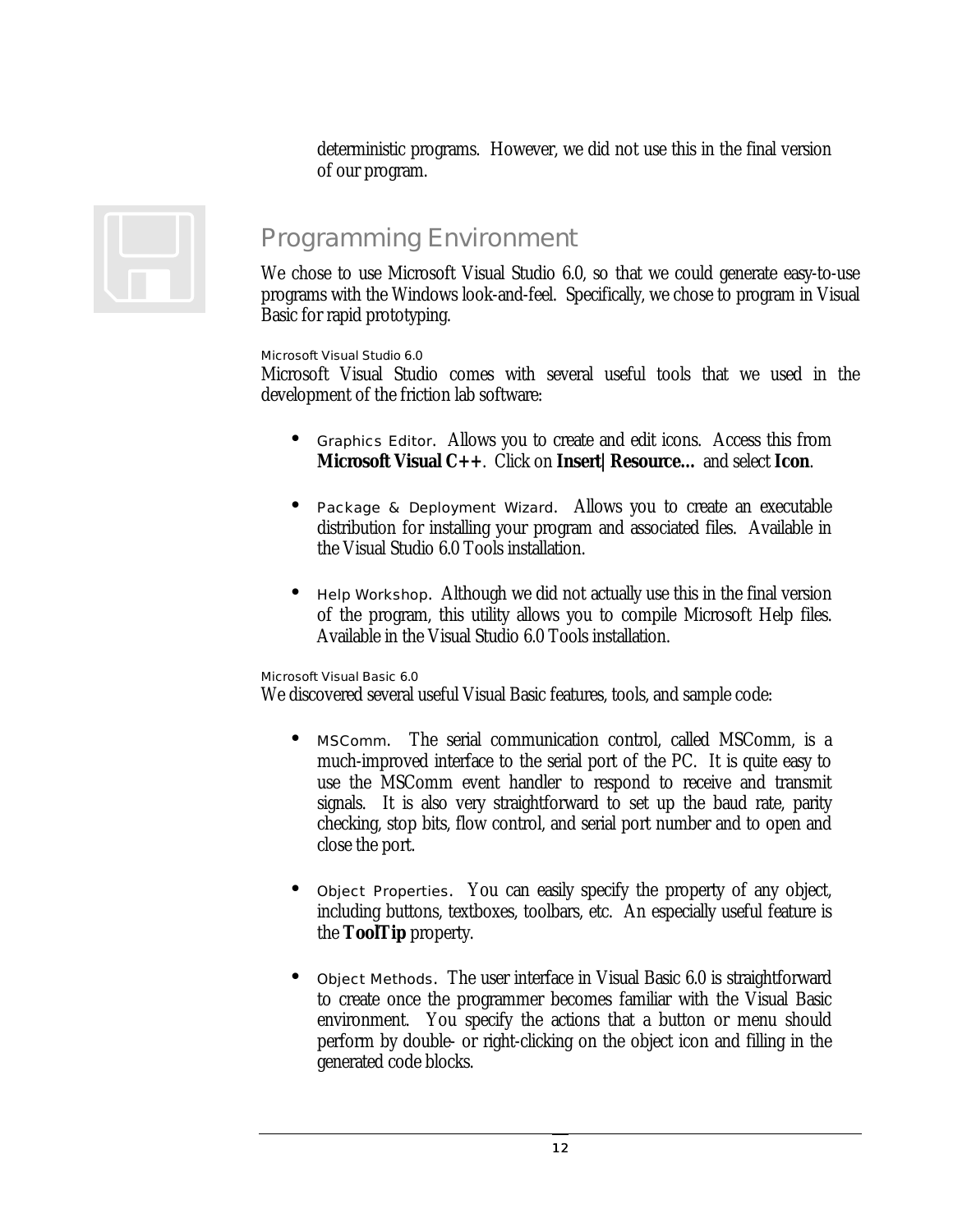deterministic programs. However, we did not use this in the final version of our program.

### Programming Environment

We chose to use Microsoft Visual Studio 6.0, so that we could generate easy-to-use programs with the Windows look-and-feel. Specifically, we chose to program in Visual Basic for rapid prototyping.

#### Microsoft Visual Studio 6.0

Microsoft Visual Studio comes with several useful tools that we used in the development of the friction lab software:

- Graphics Editor. Allows you to create and edit icons. Access this from **Microsoft Visual C++**. Click on **Insert|Resource…** and select **Icon**.
- Package & Deployment Wizard. Allows you to create an executable distribution for installing your program and associated files. Available in the Visual Studio 6.0 Tools installation.
- Help Workshop. Although we did not actually use this in the final version of the program, this utility allows you to compile Microsoft Help files. Available in the Visual Studio 6.0 Tools installation.

#### Microsoft Visual Basic 6.0

We discovered several useful Visual Basic features, tools, and sample code:

- MSComm. The serial communication control, called MSComm, is a much-improved interface to the serial port of the PC. It is quite easy to use the MSComm event handler to respond to receive and transmit signals. It is also very straightforward to set up the baud rate, parity checking, stop bits, flow control, and serial port number and to open and close the port.
- Object Properties. You can easily specify the property of any object, including buttons, textboxes, toolbars, etc. An especially useful feature is the **ToolTip** property.
- Object Methods. The user interface in Visual Basic 6.0 is straightforward to create once the programmer becomes familiar with the Visual Basic environment. You specify the actions that a button or menu should perform by double- or right-clicking on the object icon and filling in the generated code blocks.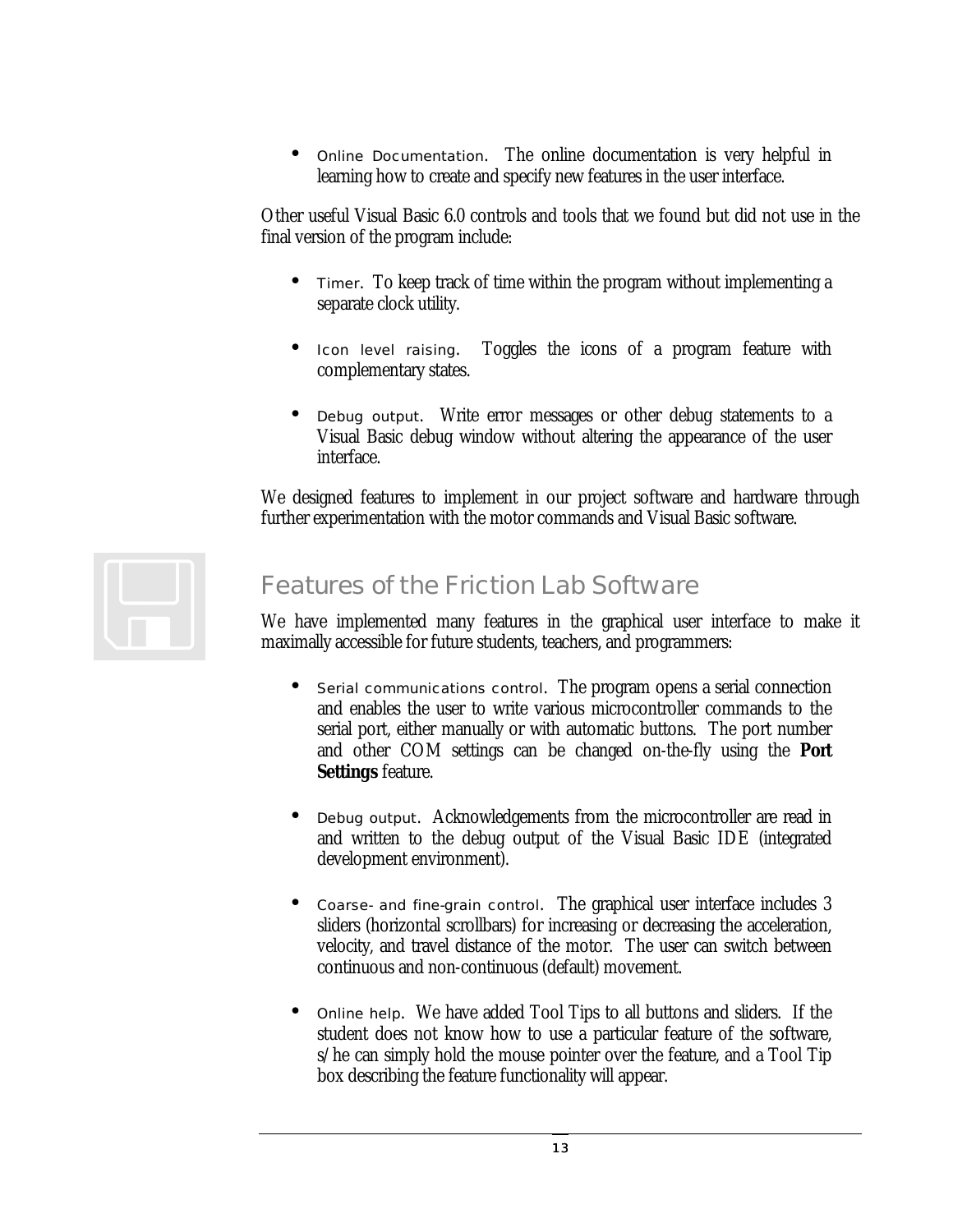• Online Documentation. The online documentation is very helpful in learning how to create and specify new features in the user interface.

Other useful Visual Basic 6.0 controls and tools that we found but did not use in the final version of the program include:

- Timer. To keep track of time within the program without implementing a separate clock utility.
- Icon level raising. Toggles the icons of a program feature with complementary states.
- Debug output. Write error messages or other debug statements to a Visual Basic debug window without altering the appearance of the user interface.

We designed features to implement in our project software and hardware through further experimentation with the motor commands and Visual Basic software.



## Features of the Friction Lab Software

We have implemented many features in the graphical user interface to make it maximally accessible for future students, teachers, and programmers:

- Serial communications control. The program opens a serial connection and enables the user to write various microcontroller commands to the serial port, either manually or with automatic buttons. The port number and other COM settings can be changed on-the-fly using the **Port Settings** feature.
- Debug output. Acknowledgements from the microcontroller are read in and written to the debug output of the Visual Basic IDE (integrated development environment).
- Coarse- and fine-grain control. The graphical user interface includes 3 sliders (horizontal scrollbars) for increasing or decreasing the acceleration, velocity, and travel distance of the motor. The user can switch between continuous and non-continuous (default) movement.
- Online help. We have added Tool Tips to all buttons and sliders. If the student does not know how to use a particular feature of the software, s/he can simply hold the mouse pointer over the feature, and a Tool Tip box describing the feature functionality will appear.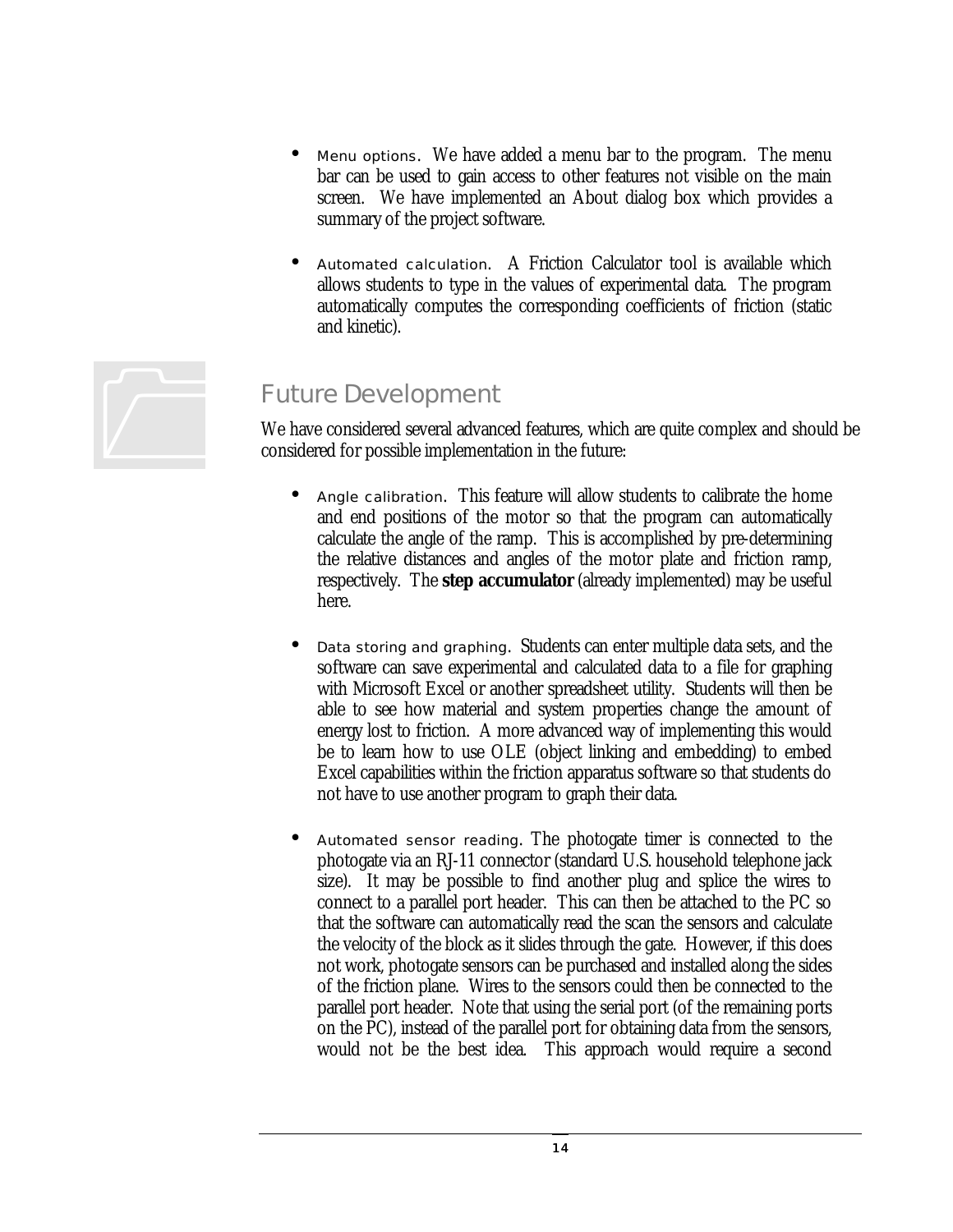- Menu options. We have added a menu bar to the program. The menu bar can be used to gain access to other features not visible on the main screen. We have implemented an About dialog box which provides a summary of the project software.
- Automated calculation. A Friction Calculator tool is available which allows students to type in the values of experimental data. The program automatically computes the corresponding coefficients of friction (static and kinetic).



#### Future Development

We have considered several advanced features, which are quite complex and should be considered for possible implementation in the future:

- Angle calibration. This feature will allow students to calibrate the home and end positions of the motor so that the program can automatically calculate the angle of the ramp. This is accomplished by pre-determining the relative distances and angles of the motor plate and friction ramp, respectively. The **step accumulator** (already implemented) may be useful here.
- Data storing and graphing. Students can enter multiple data sets, and the software can save experimental and calculated data to a file for graphing with Microsoft Excel or another spreadsheet utility. Students will then be able to see how material and system properties change the amount of energy lost to friction. A more advanced way of implementing this would be to learn how to use OLE (object linking and embedding) to embed Excel capabilities within the friction apparatus software so that students do not have to use another program to graph their data.
- Automated sensor reading. The photogate timer is connected to the photogate via an RJ-11 connector (standard U.S. household telephone jack size). It may be possible to find another plug and splice the wires to connect to a parallel port header. This can then be attached to the PC so that the software can automatically read the scan the sensors and calculate the velocity of the block as it slides through the gate. However, if this does not work, photogate sensors can be purchased and installed along the sides of the friction plane. Wires to the sensors could then be connected to the parallel port header. Note that using the serial port (of the remaining ports on the PC), instead of the parallel port for obtaining data from the sensors, would not be the best idea. This approach would require a second